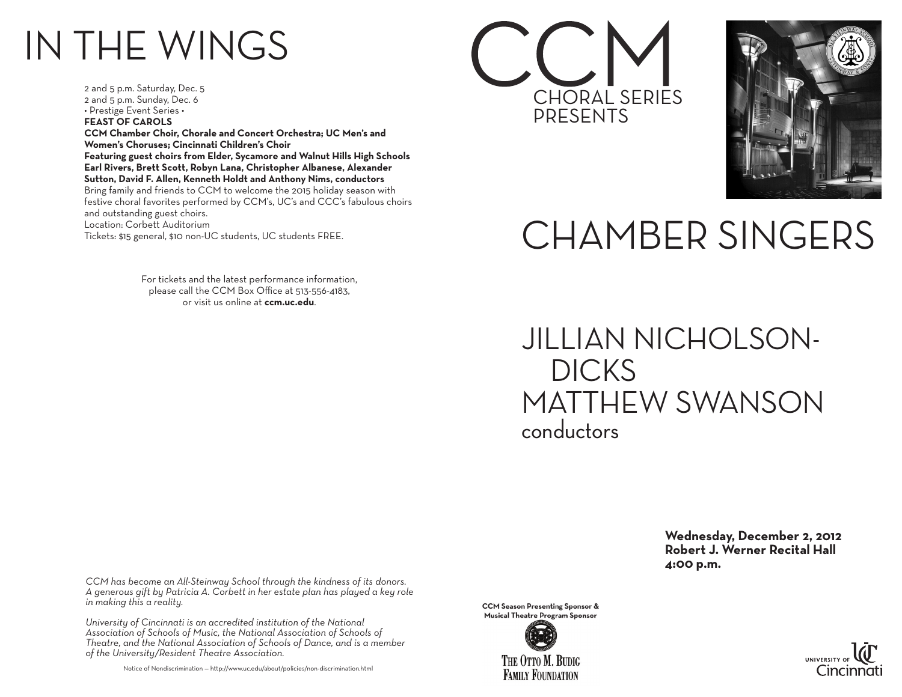## IN THE WINGS

2 and 5 p.m. Saturday, Dec. 5 2 and 5 p.m. Sunday, Dec. 6 • Prestige Event Series • **FEAST OF CAROLS CCM Chamber Choir, Chorale and Concert Orchestra; UC Men's and Women's Choruses; Cincinnati Children's Choir Featuring guest choirs from Elder, Sycamore and Walnut Hills High Schools Earl Rivers, Brett Scott, Robyn Lana, Christopher Albanese, Alexander Sutton, David F. Allen, Kenneth Holdt and Anthony Nims, conductors** Bring family and friends to CCM to welcome the 2015 holiday season with festive choral favorites performed by CCM's, UC's and CCC's fabulous choirs and outstanding guest choirs. Location: Corbett Auditorium Tickets: \$15 general, \$10 non-UC students, UC students FREE.

> For tickets and the latest performance information, please call the CCM Box Office at 513-556-4183, or visit us online at **ccm.uc.edu**.





## CHAMBER SINGERS

JILLIAN NICHOLSON- DICKS MATTHEW SWANSON conductors

> **Wednesday, December 2, 2012 Robert J. Werner Recital Hall 4:00 p.m.**

*CCM has become an All-Steinway School through the kindness of its donors. A generous gift by Patricia A. Corbett in her estate plan has played a key role in making this a reality.*

*University of Cincinnati is an accredited institution of the National Association of Schools of Music, the National Association of Schools of Theatre, and the National Association of Schools of Dance, and is a member of the University/Resident Theatre Association.*

Notice of Nondiscrimination — http://www.uc.edu/about/policies/non-discrimination.html

**CCM Season Presenting Sponsor & Musical Theatre Program Sponsor**